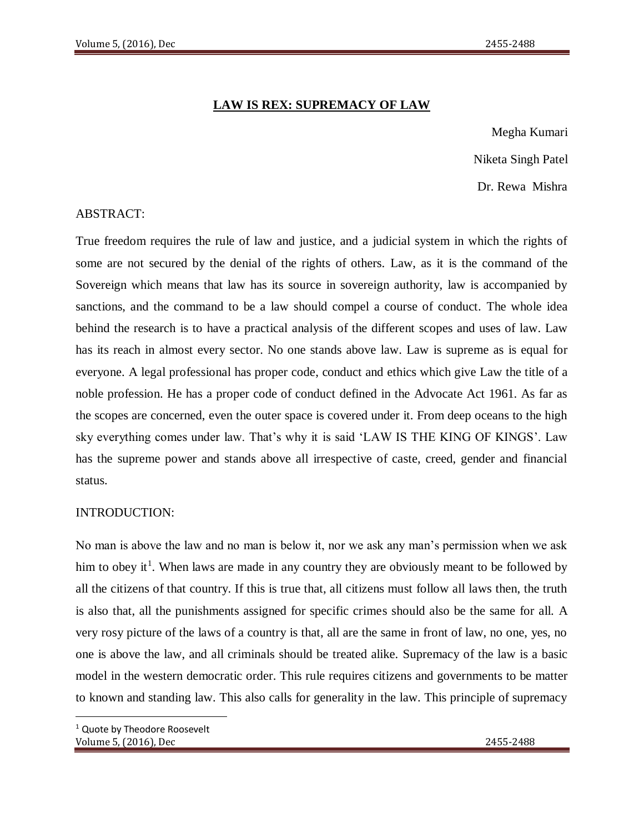# **LAW IS REX: SUPREMACY OF LAW**

Megha Kumari Niketa Singh Patel Dr. Rewa Mishra

# ABSTRACT:

True freedom requires the rule of law and justice, and a judicial system in which the rights of some are not secured by the denial of the rights of others. Law, as it is the command of the Sovereign which means that law has its source in sovereign authority, law is accompanied by sanctions, and the command to be a law should compel a course of conduct. The whole idea behind the research is to have a practical analysis of the different scopes and uses of law. Law has its reach in almost every sector. No one stands above law. Law is supreme as is equal for everyone. A legal professional has proper code, conduct and ethics which give Law the title of a noble profession. He has a proper code of conduct defined in the Advocate Act 1961. As far as the scopes are concerned, even the outer space is covered under it. From deep oceans to the high sky everything comes under law. That's why it is said 'LAW IS THE KING OF KINGS'. Law has the supreme power and stands above all irrespective of caste, creed, gender and financial status.

# INTRODUCTION:

No man is above the law and no man is below it, nor we ask any man's permission when we ask him to obey it<sup>1</sup>. When laws are made in any country they are obviously meant to be followed by all the citizens of that country. If this is true that, all citizens must follow all laws then, the truth is also that, all the punishments assigned for specific crimes should also be the same for all. A very rosy picture of the laws of a country is that, all are the same in front of law, no one, yes, no one is above the law, and all criminals should be treated alike. Supremacy of the law is a basic model in the western democratic order. This rule requires citizens and governments to be matter to known and standing law. This also calls for generality in the law. This principle of supremacy

 $\overline{a}$ 

Volume 5, (2016), Dec 2455-2488 <sup>1</sup> Quote by Theodore Roosevelt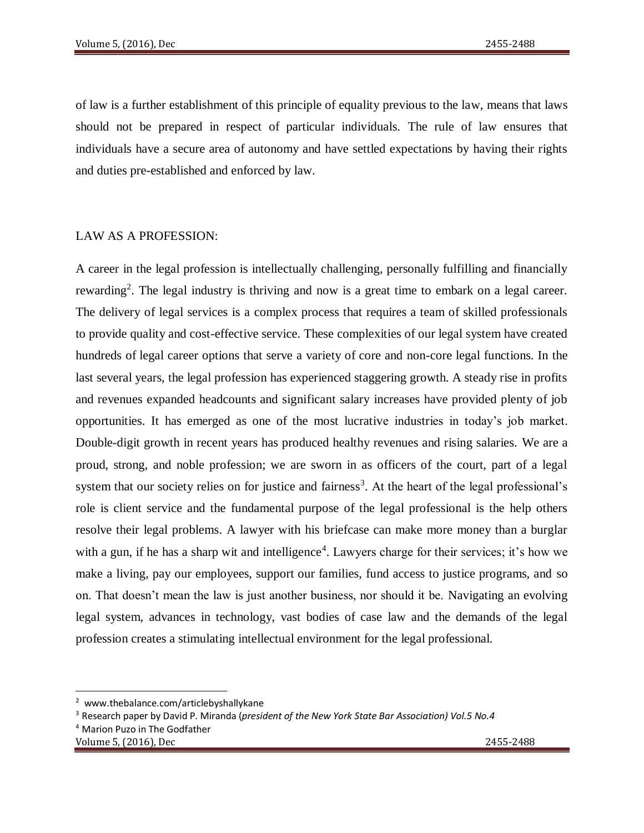of law is a further establishment of this principle of equality previous to the law, means that laws should not be prepared in respect of particular individuals. The rule of law ensures that individuals have a secure area of autonomy and have settled expectations by having their rights and duties pre-established and enforced by law.

#### LAW AS A PROFESSION:

A career in the legal profession is intellectually challenging, personally fulfilling and financially rewarding<sup>2</sup>. The legal industry is thriving and now is a great time to embark on a legal career. The delivery of legal services is a complex process that requires a team of skilled professionals to provide quality and cost-effective service. These complexities of our legal system have created hundreds of legal career options that serve a variety of core and non-core legal functions. In the last several years, the legal profession has experienced staggering growth. A steady rise in profits and revenues expanded headcounts and significant salary increases have provided plenty of job opportunities. It has emerged as one of the most lucrative industries in today's job market. Double-digit growth in recent years has produced healthy revenues and rising salaries. We are a proud, strong, and noble profession; we are sworn in as officers of the court, part of a legal system that our society relies on for justice and fairness<sup>3</sup>. At the heart of the legal professional's role is client service and the fundamental purpose of the legal professional is the help others resolve their legal problems. A lawyer with his briefcase can make more money than a burglar with a gun, if he has a sharp wit and intelligence<sup>4</sup>. Lawyers charge for their services; it's how we make a living, pay our employees, support our families, fund access to justice programs, and so on. That doesn't mean the law is just another business, nor should it be. Navigating an evolving legal system, advances in technology, vast bodies of case law and the demands of the legal profession creates a stimulating intellectual environment for the legal professional.

 $\overline{\phantom{a}}$ <sup>2</sup> www.thebalance.com/articlebyshallykane

<sup>3</sup> Research paper by David P. Miranda (*president of the New York State Bar Association) Vol.5 No.4*

<sup>4</sup> Marion Puzo in The Godfather

Volume 5, (2016), Dec 2455-2488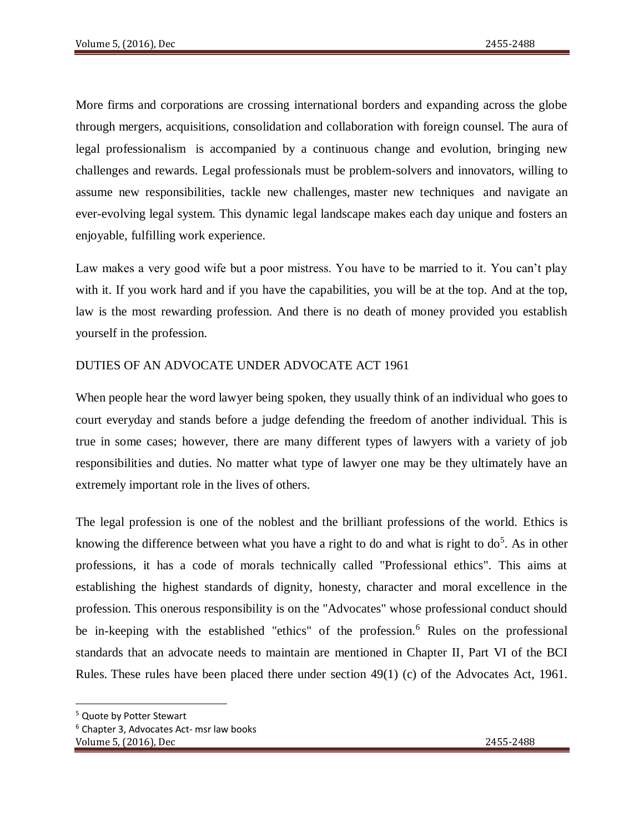More firms and corporations are crossing international borders and expanding across the globe through mergers, acquisitions, consolidation and collaboration with foreign counsel. The aura of legal professionalism is accompanied by a continuous change and evolution, bringing new challenges and rewards. Legal professionals must be problem-solvers and innovators, willing to assume new responsibilities, tackle new challenges, master new techniques and navigate an ever-evolving legal system. This dynamic legal landscape makes each day unique and fosters an enjoyable, fulfilling work experience.

Law makes a very good wife but a poor mistress. You have to be married to it. You can't play with it. If you work hard and if you have the capabilities, you will be at the top. And at the top, law is the most rewarding profession. And there is no death of money provided you establish yourself in the profession.

# DUTIES OF AN ADVOCATE UNDER ADVOCATE ACT 1961

When people hear the word lawyer being spoken, they usually think of an individual who goes to court everyday and stands before a judge defending the freedom of another individual. This is true in some cases; however, there are many different types of lawyers with a variety of job responsibilities and duties. No matter what type of lawyer one may be they ultimately have an extremely important role in the lives of others.

The legal profession is one of the noblest and the brilliant professions of the world. Ethics is knowing the difference between what you have a right to do and what is right to  $d\sigma^5$ . As in other professions, it has a code of morals technically called "Professional ethics". This aims at establishing the highest standards of dignity, honesty, character and moral excellence in the profession. This onerous responsibility is on the "Advocates" whose professional conduct should be in-keeping with the established "ethics" of the profession.<sup>6</sup> Rules on the professional standards that an advocate needs to maintain are mentioned in Chapter II, Part VI of the BCI Rules. These rules have been placed there under section  $49(1)$  (c) of the Advocates Act, 1961.

 $\overline{\phantom{a}}$ 

<sup>5</sup> Quote by Potter Stewart

<sup>6</sup> Chapter 3, Advocates Act- msr law books

Volume 5, (2016), Dec 2455-2488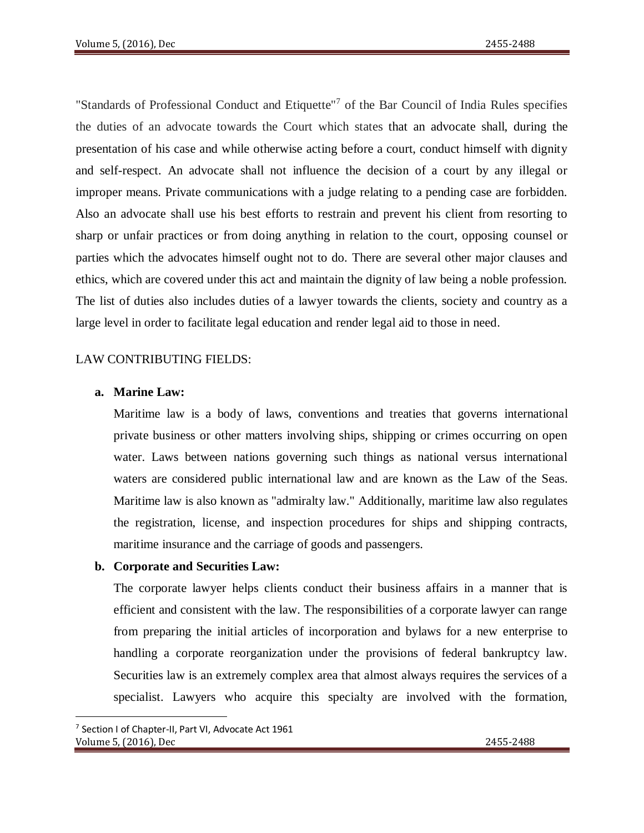"Standards of Professional Conduct and Etiquette"<sup>7</sup> of the Bar Council of India Rules specifies the duties of an advocate towards the Court which states that an advocate shall, during the presentation of his case and while otherwise acting before a court, conduct himself with dignity and self-respect. An advocate shall not influence the decision of a court by any illegal or improper means. Private communications with a judge relating to a pending case are forbidden. Also an advocate shall use his best efforts to restrain and prevent his client from resorting to sharp or unfair practices or from doing anything in relation to the court, opposing counsel or parties which the advocates himself ought not to do. There are several other major clauses and ethics, which are covered under this act and maintain the dignity of law being a noble profession. The list of duties also includes duties of a lawyer towards the clients, society and country as a large level in order to facilitate legal education and render legal aid to those in need.

#### LAW CONTRIBUTING FIELDS:

#### **a. Marine Law:**

Maritime law is a body of laws, conventions and treaties that governs international private business or other matters involving ships, shipping or crimes occurring on open water. Laws between nations governing such things as national versus international waters are considered public international law and are known as the Law of the Seas. Maritime law is also known as "admiralty law." Additionally, maritime law also regulates the registration, license, and inspection procedures for ships and shipping contracts, maritime insurance and the carriage of goods and passengers.

#### **b. Corporate and Securities Law:**

The corporate lawyer helps clients conduct their business affairs in a manner that is efficient and consistent with the law. The responsibilities of a corporate lawyer can range from preparing the initial articles of incorporation and bylaws for a new enterprise to handling a corporate reorganization under the provisions of federal bankruptcy law. Securities law is an extremely complex area that almost always requires the services of a specialist. Lawyers who acquire this specialty are involved with the formation,

 $\overline{a}$ 

Volume 5, (2016), Dec 2455-2488 <sup>7</sup> Section I of Chapter-II, Part VI, Advocate Act 1961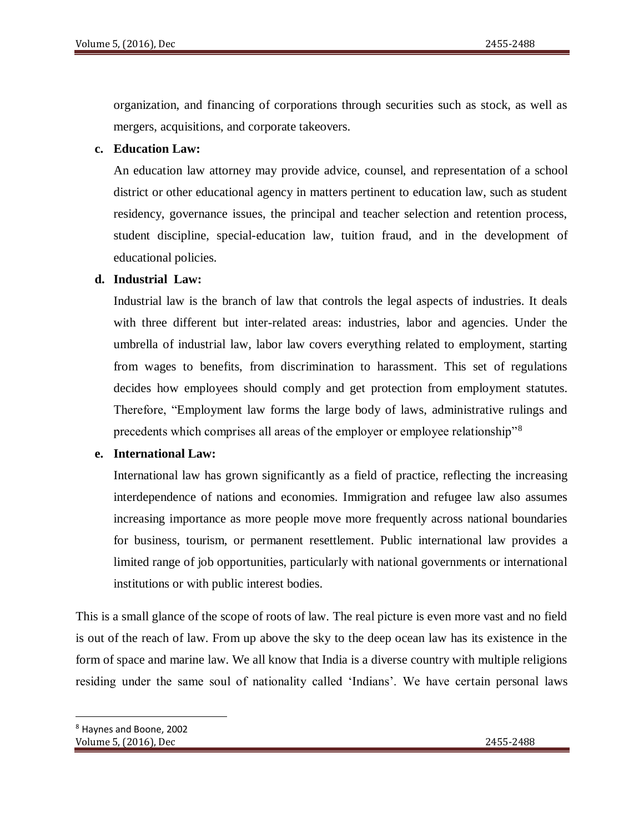organization, and financing of corporations through securities such as stock, as well as mergers, acquisitions, and corporate takeovers.

### **c. Education Law:**

An education law attorney may provide advice, counsel, and representation of a school district or other educational agency in matters pertinent to education law, such as student residency, governance issues, the principal and teacher selection and retention process, student discipline, special-education law, tuition fraud, and in the development of educational policies.

### **d. Industrial Law:**

Industrial law is the branch of law that controls the legal aspects of industries. It deals with three different but inter-related areas: industries, labor and agencies. Under the umbrella of industrial law, labor law covers everything related to employment, starting from wages to benefits, from discrimination to harassment. This set of regulations decides how employees should comply and get protection from employment statutes. Therefore, "Employment law forms the large body of laws, administrative rulings and precedents which comprises all areas of the employer or employee relationship"<sup>8</sup>

#### **e. International Law:**

International law has grown significantly as a field of practice, reflecting the increasing interdependence of nations and economies. Immigration and refugee law also assumes increasing importance as more people move more frequently across national boundaries for business, tourism, or permanent resettlement. Public international law provides a limited range of job opportunities, particularly with national governments or international institutions or with public interest bodies.

This is a small glance of the scope of roots of law. The real picture is even more vast and no field is out of the reach of law. From up above the sky to the deep ocean law has its existence in the form of space and marine law. We all know that India is a diverse country with multiple religions residing under the same soul of nationality called 'Indians'. We have certain personal laws

 $\overline{a}$ 

Volume 5, (2016), Dec 2455-2488 <sup>8</sup> Haynes and Boone, 2002